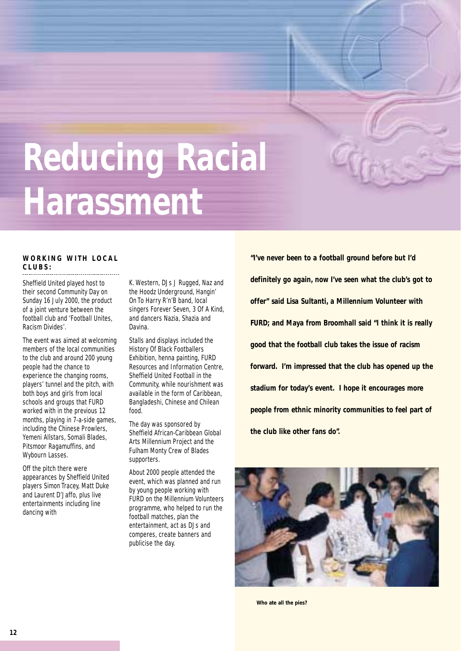## **Reducing Racial Harassment**

#### **WORKING WITH LOCAL CLUBS:**

Sheffield United played host to their second Community Day on Sunday 16 July 2000, the product of a joint venture between the football club and 'Football Unites, Racism Divides'.

The event was aimed at welcoming members of the local communities to the club and around 200 young people had the chance to experience the changing rooms, players' tunnel and the pitch, with both boys and girls from local schools and groups that FURD worked with in the previous 12 months, playing in 7-a-side games, including the Chinese Prowlers, Yemeni Allstars, Somali Blades, Pitsmoor Ragamuffins, and Wybourn Lasses.

Off the pitch there were appearances by Sheffield United players Simon Tracey, Matt Duke and Laurent D'Jaffo, plus live entertainments including line dancing with

K. Western, DJs J Rugged, Naz and the Hoodz Underground, Hangin' On To Harry R'n'B band, local singers Forever Seven, 3 Of A Kind, and dancers Nazia, Shazia and Davina.

Stalls and displays included the History Of Black Footballers Exhibition, henna painting, FURD Resources and Information Centre, Sheffield United Football in the Community, while nourishment was available in the form of Caribbean, Bangladeshi, Chinese and Chilean food.

The day was sponsored by Sheffield African-Caribbean Global Arts Millennium Project and the Fulham Monty Crew of Blades supporters.

About 2000 people attended the event, which was planned and run by young people working with FURD on the Millennium Volunteers programme, who helped to run the football matches, plan the entertainment, act as DJs and comperes, create banners and publicise the day.

**"I've never been to a football ground before but I'd definitely go again, now I've seen what the club's got to offer" said Lisa Sultanti, a Millennium Volunteer with FURD; and Maya from Broomhall said "I think it is really good that the football club takes the issue of racism forward. I'm impressed that the club has opened up the stadium for today's event. I hope it encourages more people from ethnic minority communities to feel part of the club like other fans do".**



**Who ate all the pies?**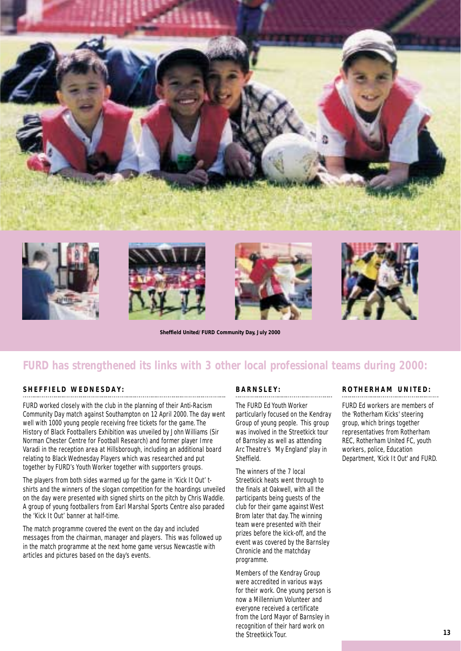

**Sheffield United/FURD Community Day, July 2000**



#### **SHEFFIELD WEDNESDAY:**

FURD worked closely with the club in the planning of their Anti-Racism Community Day match against Southampton on 12 April 2000. The day went well with 1000 young people receiving free tickets for the game. The History of Black Footballers Exhibition was unveiled by John Williams (Sir Norman Chester Centre for Football Research) and former player Imre Varadi in the reception area at Hillsborough, including an additional board relating to Black Wednesday Players which was researched and put together by FURD's Youth Worker together with supporters groups.

The players from both sides warmed up for the game in 'Kick It Out' tshirts and the winners of the slogan competition for the hoardings unveiled on the day were presented with signed shirts on the pitch by Chris Waddle. A group of young footballers from Earl Marshal Sports Centre also paraded the 'Kick It Out' banner at half-time.

The match programme covered the event on the day and included messages from the chairman, manager and players. This was followed up in the match programme at the next home game versus Newcastle with articles and pictures based on the day's events.

#### **BARNSLEY:**

The FURD Ed Youth Worker

particularly focused on the Kendray Group of young people. This group was involved in the Streetkick tour of Barnsley as well as attending Arc Theatre's 'My England' play in Sheffield.

The winners of the 7 local Streetkick heats went through to the finals at Oakwell, with all the participants being guests of the club for their game against West Brom later that day. The winning team were presented with their prizes before the kick-off, and the event was covered by the Barnsley Chronicle and the matchday programme.

Members of the Kendray Group were accredited in various ways for their work. One young person is now a Millennium Volunteer and everyone received a certificate from the Lord Mayor of Barnsley in recognition of their hard work on the Streetkick Tour.

#### **ROTHERHAM UNITED:**

FURD Ed workers are members of the 'Rotherham Kicks' steering group, which brings together representatives from Rotherham REC, Rotherham United FC, youth workers, police, Education Department, 'Kick It Out' and FURD.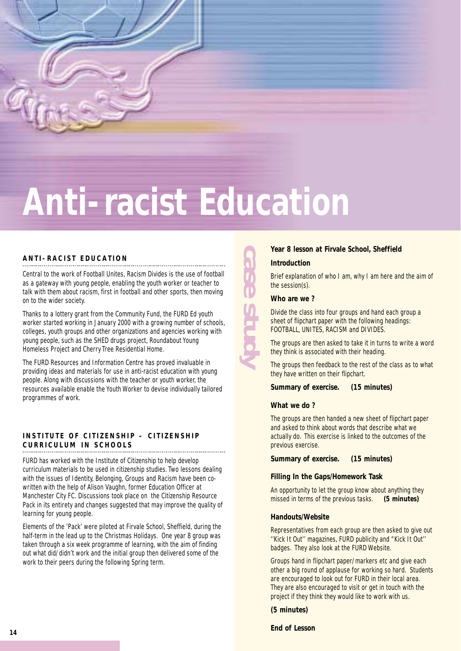

## **Anti-racist Education**

#### **ANTI-RACIST EDUCATION**

Central to the work of Football Unites, Racism Divides is the use of football as a gateway with young people, enabling the youth worker or teacher to talk with them about racism, first in football and other sports, then moving on to the wider society.

Thanks to a lottery grant from the Community Fund, the FURD Ed youth worker started working in January 2000 with a growing number of schools, colleges, youth groups and other organizations and agencies working with young people, such as the SHED drugs project, Roundabout Young Homeless Project and Cherry Tree Residential Home.

The FURD Resources and Information Centre has proved invaluable in providing ideas and materials for use in anti-racist education with young people. Along with discussions with the teacher or youth worker, the resources available enable the Youth Worker to devise individually tailored programmes of work.

#### **INSTITUTE OF CITIZENSHIP – CITIZENSHIP CURRICULUM IN SCHOOLS**

FURD has worked with the Institute of Citizenship to help develop curriculum materials to be used in citizenship studies. Two lessons dealing with the issues of Identity, Belonging, Groups and Racism have been cowritten with the help of Alison Vaughn, former Education Officer at Manchester City FC. Discussions took place on the Citizenship Resource Pack in its entirety and changes suggested that may improve the quality of learning for young people.

Elements of the 'Pack' were piloted at Firvale School, Sheffield, during the half-term in the lead up to the Christmas Holidays. One year 8 group was taken through a six week programme of learning, with the aim of finding out what did/didn't work and the initial group then delivered some of the work to their peers during the following Spring term.

#### **Year 8 lesson at Firvale School, Sheffield**

#### **Introduction**

Brief explanation of who I am, why I am here and the aim of the session(s).

**Who are we ?**

**case study**

Divide the class into four groups and hand each group a sheet of flipchart paper with the following headings: FOOTBALL, UNITES, RACISM and DIVIDES.

The groups are then asked to take it in turns to write a word they think is associated with their heading.

The groups then feedback to the rest of the class as to what they have written on their flipchart.

**Summary of exercise. (15 minutes)**

#### **What we do ?**

The groups are then handed a new sheet of flipchart paper and asked to think about words that describe what we actually do. This exercise is linked to the outcomes of the previous exercise.

**Summary of exercise. (15 minutes)**

#### **Filling In the Gaps/Homework Task**

An opportunity to let the group know about anything they missed in terms of the previous tasks. **(5 minutes)**

#### **Handouts/Website**

Representatives from each group are then asked to give out ''Kick It Out'' magazines, FURD publicity and "Kick It Out'' badges. They also look at the FURD Website.

Groups hand in flipchart paper/markers etc and give each other a big round of applause for working so hard. Students are encouraged to look out for FURD in their local area. They are also encouraged to visit or get in touch with the project if they think they would like to work with us.

**(5 minutes)**

**End of Lesson**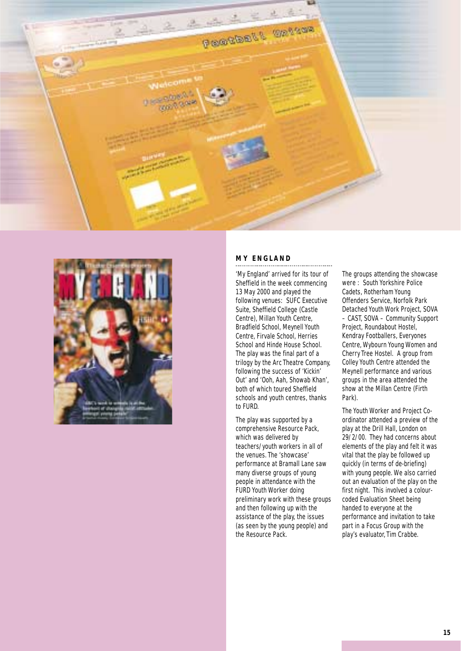



#### **MY ENGLAND**

'My England' arrived for its tour of Sheffield in the week commencing 13 May 2000 and played the following venues: SUFC Executive Suite, Sheffield College (Castle Centre), Millan Youth Centre, Bradfield School, Meynell Youth Centre, Firvale School, Herries School and Hinde House School. The play was the final part of a trilogy by the Arc Theatre Company, following the success of 'Kickin' Out' and 'Ooh, Aah, Showab Khan', both of which toured Sheffield schools and youth centres, thanks to FURD.

The play was supported by a comprehensive Resource Pack, which was delivered by teachers/youth workers in all of the venues. The 'showcase' performance at Bramall Lane saw many diverse groups of young people in attendance with the FURD Youth Worker doing preliminary work with these groups and then following up with the assistance of the play, the issues (as seen by the young people) and the Resource Pack.

The groups attending the showcase were : South Yorkshire Police Cadets, Rotherham Young Offenders Service, Norfolk Park Detached Youth Work Project, SOVA – CAST, SOVA – Community Support Project, Roundabout Hostel, Kendray Footballers, Everyones Centre, Wybourn Young Women and Cherry Tree Hostel. A group from Colley Youth Centre attended the Meynell performance and various groups in the area attended the show at the Millan Centre (Firth Park).

The Youth Worker and Project Coordinator attended a preview of the play at the Drill Hall, London on 29/2/00. They had concerns about elements of the play and felt it was vital that the play be followed up quickly (in terms of de-briefing) with young people. We also carried out an evaluation of the play on the first night. This involved a colourcoded Evaluation Sheet being handed to everyone at the performance and invitation to take part in a Focus Group with the play's evaluator, Tim Crabbe.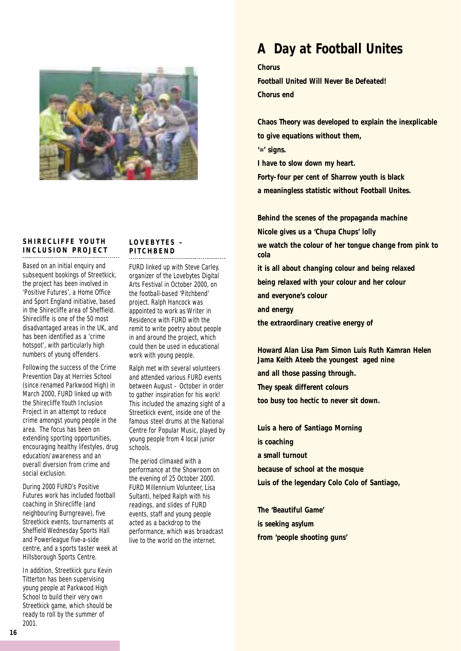

#### **SHIRECLIFFE YOUTH INCLUSION PROJECT**

Based on an initial enquiry and subsequent bookings of Streetkick, the project has been involved in 'Positive Futures', a Home Office and Sport England initiative, based in the Shirecliffe area of Sheffield. Shirecliffe is one of the 50 most disadvantaged areas in the UK, and has been identified as a 'crime hotspot', with particularly high numbers of young offenders.

Following the success of the Crime Prevention Day at Herries School (since renamed Parkwood High) in March 2000, FURD linked up with the Shirecliffe Youth Inclusion Project in an attempt to reduce crime amongst young people in the area. The focus has been on extending sporting opportunities, encouraging healthy lifestyles, drug education/awareness and an overall diversion from crime and social exclusion.

During 2000 FURD's Positive Futures work has included football coaching in Shirecliffe (and neighbouring Burngreave), five Streetkick events, tournaments at Sheffield Wednesday Sports Hall and Powerleague five-a-side centre, and a sports taster week at Hillsborough Sports Centre.

In addition, Streetkick guru Kevin Titterton has been supervising young people at Parkwood High School to build their very own Streetkick game, which should be ready to roll by the summer of 2001.

#### **LOVEBYTES – PITCHBEND**

FURD linked up with Steve Carley, organizer of the Lovebytes Digital Arts Festival in October 2000, on the football-based 'Pitchbend' project. Ralph Hancock was appointed to work as Writer in Residence with FURD with the remit to write poetry about people in and around the project, which could then be used in educational work with young people.

Ralph met with several volunteers and attended various FURD events between August – October in order to gather inspiration for his work! This included the amazing sight of a Streetkick event, inside one of the famous steel drums at the National Centre for Popular Music, played by young people from 4 local junior schools.

The period climaxed with a performance at the Showroom on the evening of 25 October 2000. FURD Millennium Volunteer, Lisa Sultanti, helped Ralph with his readings, and slides of FURD events, staff and young people acted as a backdrop to the performance, which was broadcast live to the world on the internet.

#### **A Day at Football Unites**

#### **Chorus**

**Football United Will Never Be Defeated! Chorus end**

**Chaos Theory was developed to explain the inexplicable to give equations without them,**

**'=' signs.**

**I have to slow down my heart.**

**Forty-four per cent of Sharrow youth is black a meaningless statistic without Football Unites.**

**Behind the scenes of the propaganda machine Nicole gives us a 'Chupa Chups' lolly we watch the colour of her tongue change from pink to cola it is all about changing colour and being relaxed being relaxed with your colour and her colour and everyone's colour and energy the extraordinary creative energy of**

**Howard Alan Lisa Pam Simon Luis Ruth Kamran Helen Jama Keith Ateeb the youngest aged nine**

**and all those passing through.** 

**They speak different colours**

**too busy too hectic to never sit down.**

**Luis a hero of Santiago Morning is coaching a small turnout because of school at the mosque Luis of the legendary Colo Colo of Santiago,**

**The 'Beautiful Game' is seeking asylum from 'people shooting guns'**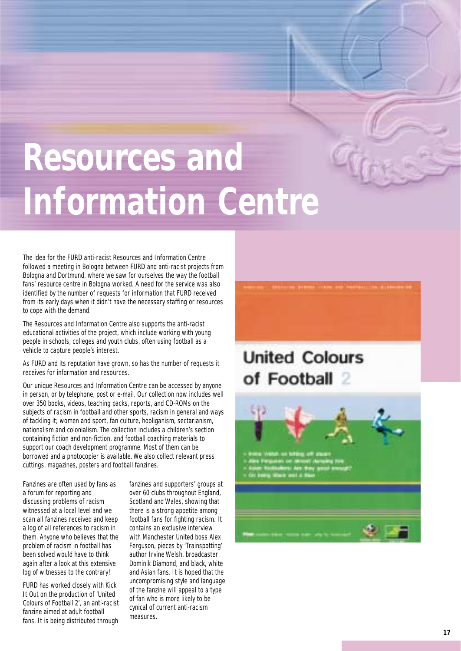## **Resources and Information Centre**

The idea for the FURD anti-racist Resources and Information Centre followed a meeting in Bologna between FURD and anti-racist projects from Bologna and Dortmund, where we saw for ourselves the way the football fans' resource centre in Bologna worked. A need for the service was also identified by the number of requests for information that FURD received from its early days when it didn't have the necessary staffing or resources to cope with the demand.

The Resources and Information Centre also supports the anti-racist educational activities of the project, which include working with young people in schools, colleges and youth clubs, often using football as a vehicle to capture people's interest.

As FURD and its reputation have grown, so has the number of requests it receives for information and resources.

Our unique Resources and Information Centre can be accessed by anyone in person, or by telephone, post or e-mail. Our collection now includes well over 350 books, videos, teaching packs, reports, and CD-ROMs on the subjects of racism in football and other sports, racism in general and ways of tackling it; women and sport, fan culture, hooliganism, sectarianism, nationalism and colonialism. The collection includes a children's section containing fiction and non-fiction, and football coaching materials to support our coach development programme. Most of them can be borrowed and a photocopier is available. We also collect relevant press cuttings, magazines, posters and football fanzines.

Fanzines are often used by fans as a forum for reporting and discussing problems of racism witnessed at a local level and we scan all fanzines received and keep a log of all references to racism in them. Anyone who believes that the problem of racism in football has been solved would have to think again after a look at this extensive log of witnesses to the contrary!

FURD has worked closely with Kick It Out on the production of 'United Colours of Football 2', an anti-racist fanzine aimed at adult football fans. It is being distributed through

fanzines and supporters' groups at over 60 clubs throughout England, Scotland and Wales, showing that there is a strong appetite among football fans for fighting racism. It contains an exclusive interview with Manchester United boss Alex Ferguson, pieces by 'Trainspotting' author Irvine Welsh, broadcaster Dominik Diamond, and black, white and Asian fans. It is hoped that the uncompromising style and language of the fanzine will appeal to a type of fan who is more likely to be cynical of current anti-racism measures.



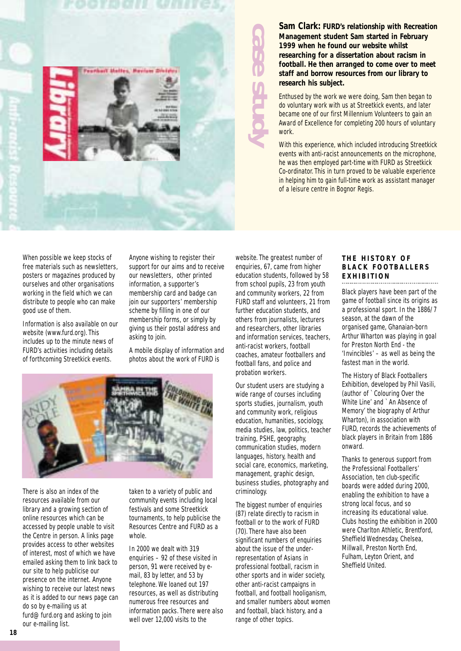

**Sam Clark: FURD's relationship with Recreation Management student Sam started in February 1999 when he found our website whilst researching for a dissertation about racism in football. He then arranged to come over to meet staff and borrow resources from our library to research his subject.**

Enthused by the work we were doing, Sam then began to do voluntary work with us at Streetkick events, and later became one of our first Millennium Volunteers to gain an Award of Excellence for completing 200 hours of voluntary work.

With this experience, which included introducing Streetkick events with anti-racist announcements on the microphone, he was then employed part-time with FURD as Streetkick Co-ordinator. This in turn proved to be valuable experience in helping him to gain full-time work as assistant manager of a leisure centre in Bognor Regis.

When possible we keep stocks of free materials such as newsletters, posters or magazines produced by ourselves and other organisations working in the field which we can distribute to people who can make good use of them.

Information is also available on our website (www.furd.org). This includes up to the minute news of FURD's activities including details of forthcoming Streetkick events.

Anyone wishing to register their support for our aims and to receive our newsletters, other printed information, a supporter's membership card and badge can join our supporters' membership scheme by filling in one of our membership forms, or simply by giving us their postal address and asking to join.

A mobile display of information and photos about the work of FURD is



There is also an index of the resources available from our library and a growing section of online resources which can be accessed by people unable to visit the Centre in person. A links page provides access to other websites of interest, most of which we have emailed asking them to link back to our site to help publicise our presence on the internet. Anyone wishing to receive our latest news as it is added to our news page can do so by e-mailing us at furd@furd.org and asking to join our e-mailing list.

taken to a variety of public and community events including local festivals and some Streetkick tournaments, to help publicise the Resources Centre and FURD as a whole.

In 2000 we dealt with 319 enquiries – 92 of these visited in person, 91 were received by email, 83 by letter, and 53 by telephone. We loaned out 197 resources, as well as distributing numerous free resources and information packs. There were also well over 12,000 visits to the

website. The greatest number of enquiries, 67, came from higher education students, followed by 58 from school pupils, 23 from youth and community workers, 22 from FURD staff and volunteers, 21 from further education students, and others from journalists, lecturers and researchers, other libraries and information services, teachers, anti-racist workers, football coaches, amateur footballers and football fans, and police and probation workers.

**case study**

Our student users are studying a wide range of courses including sports studies, journalism, youth and community work, religious education, humanities, sociology, media studies, law, politics, teacher training, PSHE, geography, communication studies, modern languages, history, health and social care, economics, marketing, management, graphic design, business studies, photography and criminology.

The biggest number of enquiries (87) relate directly to racism in football or to the work of FURD (70). There have also been significant numbers of enquiries about the issue of the underrepresentation of Asians in professional football, racism in other sports and in wider society, other anti-racist campaigns in football, and football hooliganism, and smaller numbers about women and football, black history, and a range of other topics.

#### **THE HISTORY OF BLACK FOOTBALLERS EXHIBITION**

Black players have been part of the game of football since its origins as a professional sport. In the 1886/7 season, at the dawn of the organised game, Ghanaian-born Arthur Wharton was playing in goal for Preston North End - the 'Invincibles' – as well as being the fastest man in the world.

The History of Black Footballers Exhibition, developed by Phil Vasili, (author of `Colouring Over the White Line' and `An Absence of Memory' the biography of Arthur Wharton), in association with FURD, records the achievements of black players in Britain from 1886 onward.

Thanks to generous support from the Professional Footballers' Association, ten club-specific boards were added during 2000, enabling the exhibition to have a strong local focus, and so increasing its educational value. Clubs hosting the exhibition in 2000 were Charlton Athletic, Brentford, Sheffield Wednesday, Chelsea, Millwall, Preston North End, Fulham, Leyton Orient, and Sheffield United.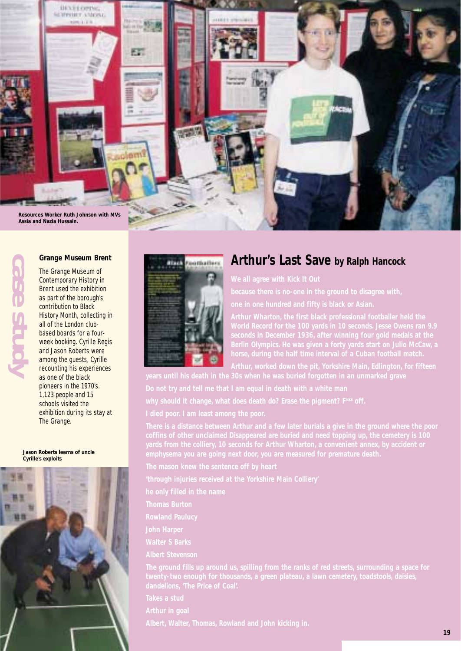

# **case study**

#### **Grange Museum Brent**

The Grange Museum of Contemporary History in Brent used the exhibition as part of the borough's contribution to Black History Month, collecting in all of the London clubbased boards for a fourweek booking. Cyrille Regis and Jason Roberts were among the guests, Cyrille recounting his experiences as one of the black pioneers in the 1970's. 1,123 people and 15 schools visited the exhibition during its stay at The Grange.

**Jason Roberts learns of uncle Cyrille's exploits**





#### **Arthur's Last Save by Ralph Hancock**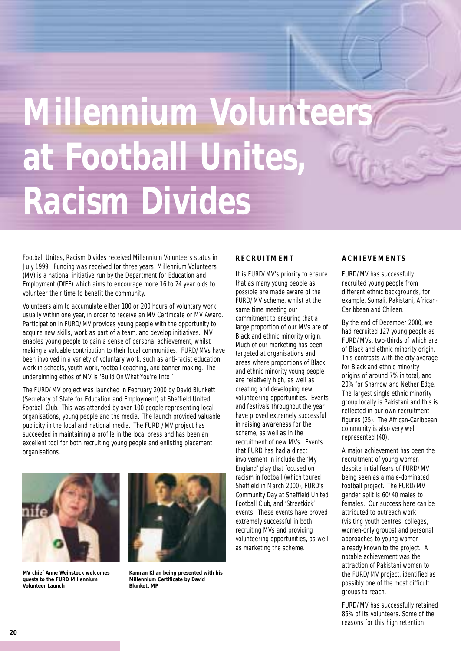## **Millennium Volunteer at Football Unites, Racism Divides**

Football Unites, Racism Divides received Millennium Volunteers status in July 1999. Funding was received for three years. Millennium Volunteers (MV) is a national initiative run by the Department for Education and Employment (DfEE) which aims to encourage more 16 to 24 year olds to volunteer their time to benefit the community.

Volunteers aim to accumulate either 100 or 200 hours of voluntary work, usually within one year, in order to receive an MV Certificate or MV Award. Participation in FURD/MV provides young people with the opportunity to acquire new skills, work as part of a team, and develop initiatives. MV enables young people to gain a sense of personal achievement, whilst making a valuable contribution to their local communities. FURD/MVs have been involved in a variety of voluntary work, such as anti-racist education work in schools, youth work, football coaching, and banner making. The underpinning ethos of MV is 'Build On What You're Into!'

The FURD/MV project was launched in February 2000 by David Blunkett (Secretary of State for Education and Employment) at Sheffield United Football Club. This was attended by over 100 people representing local organisations, young people and the media. The launch provided valuable publicity in the local and national media. The FURD /MV project has succeeded in maintaining a profile in the local press and has been an excellent tool for both recruiting young people and enlisting placement organisations.



**MV chief Anne Weinstock welcomes guests to the FURD Millennium Volunteer Launch**



**Kamran Khan being presented with his Millennium Certificate by David Blunkett MP**

#### **RECRUITMENT**

It is FURD/MV's priority to ensure that as many young people as possible are made aware of the FURD/MV scheme, whilst at the same time meeting our commitment to ensuring that a large proportion of our MVs are of Black and ethnic minority origin. Much of our marketing has been targeted at organisations and areas where proportions of Black and ethnic minority young people are relatively high, as well as creating and developing new volunteering opportunities. Events and festivals throughout the year have proved extremely successful in raising awareness for the scheme, as well as in the recruitment of new MVs. Events that FURD has had a direct involvement in include the 'My England' play that focused on racism in football (which toured Sheffield in March 2000), FURD's Community Day at Sheffield United Football Club, and 'Streetkick' events. These events have proved extremely successful in both recruiting MVs and providing volunteering opportunities, as well as marketing the scheme.

#### **ACHIEVEMENTS**

FURD/MV has successfully recruited young people from different ethnic backgrounds, for example, Somali, Pakistani, African-Caribbean and Chilean.

By the end of December 2000, we had recruited 127 young people as FURD/MVs, two-thirds of which are of Black and ethnic minority origin. This contrasts with the city average for Black and ethnic minority origins of around 7% in total, and 20% for Sharrow and Nether Edge. The largest single ethnic minority group locally is Pakistani and this is reflected in our own recruitment figures (25). The African-Caribbean community is also very well represented (40).

A major achievement has been the recruitment of young women despite initial fears of FURD/MV being seen as a male-dominated football project. The FURD/MV gender split is 60/40 males to females. Our success here can be attributed to outreach work (visiting youth centres, colleges, women-only groups) and personal approaches to young women already known to the project. A notable achievement was the attraction of Pakistani women to the FURD/MV project, identified as possibly one of the most difficult groups to reach.

FURD/MV has successfully retained 85% of its volunteers. Some of the reasons for this high retention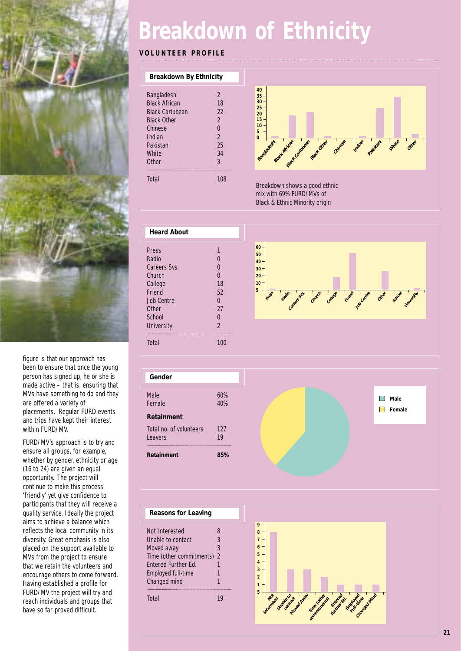

figure is that our approach has been to ensure that once the young person has signed up, he or she is made active – that is, ensuring that MVs have something to do and they are offered a variety of placements. Regular FURD events and trips have kept their interest within FURD/MV.

FURD/MV's approach is to try and ensure all groups, for example, whether by gender, ethnicity or age (16 to 24) are given an equal opportunity. The project will continue to make this process 'friendly' yet give confidence to participants that they will receive a quality service. Ideally the project aims to achieve a balance which reflects the local community in its diversity. Great emphasis is also placed on the support available to MVs from the project to ensure that we retain the volunteers and encourage others to come forward. Having established a profile for FURD/MV the project will try and reach individuals and groups that have so far proved difficult.

### **Breakdown of Ethnicity**

#### **VOLUNTEER PROFILE**

| Breakdown By Ethnicity |                |
|------------------------|----------------|
| Bangladeshi            | 2              |
| <b>Black African</b>   | 18             |
| <b>Black Caribbean</b> | 22             |
| <b>Black Other</b>     | $\mathfrak{D}$ |
| Chinese                | U              |
| Indian                 | $\mathfrak{D}$ |
| Pakistani              | 25             |
| <b>White</b>           | 34             |
| <b>Other</b>           | 3              |
| Total                  | 108            |



Breakdown shows a good ethnic mix with 69% FURD/MVs of Black & Ethnic Minority origin







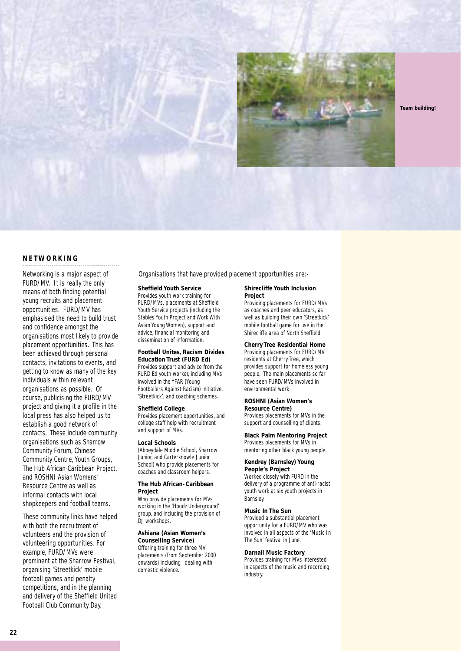

**Team building!**

#### **NETWORKING**

Networking is a major aspect of FURD/MV. It is really the only means of both finding potential young recruits and placement opportunities. FURD/MV has emphasised the need to build trust and confidence amongst the organisations most likely to provide placement opportunities. This has been achieved through personal contacts, invitations to events, and getting to know as many of the key individuals within relevant organisations as possible. Of course, publicising the FURD/MV project and giving it a profile in the local press has also helped us to establish a good network of contacts. These include community organisations such as Sharrow Community Forum, Chinese Community Centre, Youth Groups, The Hub African-Caribbean Project, and ROSHNI Asian Womens' Resource Centre as well as informal contacts with local shopkeepers and football teams.

These community links have helped with both the recruitment of volunteers and the provision of volunteering opportunities. For example, FURD/MVs were prominent at the Sharrow Festival, organising 'Streetkick' mobile football games and penalty competitions, and in the planning and delivery of the Sheffield United Football Club Community Day.

Organisations that have provided placement opportunities are:-

#### **Sheffield Youth Service**

Provides youth work training for FURD/MVs, placements at Sheffield Youth Service projects (including the Stables Youth Project and Work With Asian Young Women), support and advice, financial monitoring and dissemination of information.

#### **Football Unites, Racism Divides**

**Education Trust (FURD Ed)** Provides support and advice from the FURD Ed youth worker, including MVs involved in the YFAR (Young Footballers Against Racism) initiative, 'Streetkick', and coaching schemes.

#### **Sheffield College**

Provides placement opportunities, and college staff help with recruitment and support of MVs.

#### **Local Schools**

(Abbeydale Middle School, Sharrow Junior, and Carterknowle Junior School) who provide placements for coaches and classroom helpers.

#### **The Hub African-Caribbean Project**

Who provide placements for MVs working in the 'Hoodz Underground' group, and including the provision of DJ workshops.

#### **Ashiana (Asian Women's Counselling Service)**

Offering training for three MV placements (from September 2000 onwards) including dealing with domestic violence.

#### **Shirecliffe Youth Inclusion Project**

Providing placements for FURD/MVs as coaches and peer educators, as well as building their own 'Streetkick' mobile football game for use in the Shirecliffe area of North Sheffield.

#### **Cherry Tree Residential Home** Providing placements for FURD/MV residents at Cherry Tree, which provides support for homeless young people. The main placements so far have seen FURD/MVs involved in environmental work

**ROSHNI (Asian Women's Resource Centre)** Provides placements for MVs in the support and counselling of clients.

#### **Black Palm Mentoring Project** Provides placements for MVs in mentoring other black young people.

#### **Kendrey (Barnsley) Young**

**People's Project** Worked closely with FURD in the delivery of a programme of anti-racist youth work at six youth projects in Barnsley.

#### **Music In The Sun**

Provided a substantial placement opportunity for a FURD/MV who was involved in all aspects of the 'Music In The Sun' festival in June.

#### **Darnall Music Factory**

Provides training for MVs interested in aspects of the music and recording industry.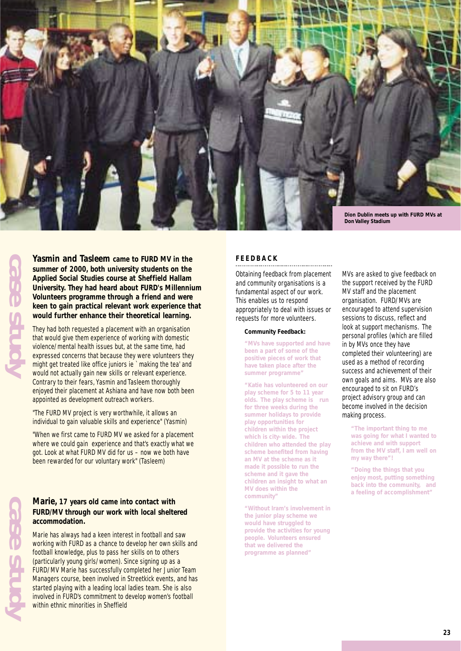

**Yasmin and Tasleem came to FURD MV in the summer of 2000, both university students on the Applied Social Studies course at Sheffield Hallam University. They had heard about FURD's Millennium Volunteers programme through a friend and were keen to gain practical relevant work experience that would further enhance their theoretical learning.**

They had both requested a placement with an organisation that would give them experience of working with domestic violence/mental health issues but, at the same time, had expressed concerns that because they were volunteers they might get treated like office juniors ie `making the tea' and would not actually gain new skills or relevant experience. Contrary to their fears, Yasmin and Tasleem thoroughly enjoyed their placement at Ashiana and have now both been appointed as development outreach workers.

"The FURD MV project is very worthwhile, it allows an individual to gain valuable skills and experience" (Yasmin)

"When we first came to FURD MV we asked for a placement where we could gain experience and that's exactly what we got. Look at what FURD MV did for us – now we both have been rewarded for our voluntary work" (Tasleem)

#### **Marie, 17 years old came into contact with FURD/MV through our work with local sheltered accommodation.**

Marie has always had a keen interest in football and saw working with FURD as a chance to develop her own skills and football knowledge, plus to pass her skills on to others (particularly young girls/women). Since signing up as a FURD/MV Marie has successfully completed her Junior Team Managers course, been involved in Streetkick events, and has started playing with a leading local ladies team. She is also involved in FURD's commitment to develop women's football within ethnic minorities in Sheffield

#### **FEEDBACK**

Obtaining feedback from placement and community organisations is a fundamental aspect of our work. This enables us to respond appropriately to deal with issues or requests for more volunteers.

#### **Community Feedback:**

**"MVs have supported and have been a part of some of the positive pieces of work that have taken place after the summer programme"**

**"Katie has volunteered on our play scheme for 5 to 11 year olds. The play scheme is run for three weeks during the summer holidays to provide play opportunities for children within the project which is city-wide. The children who attended the play scheme benefited from having an MV at the scheme as it made it possible to run the scheme and it gave the children an insight to what an MV does within the community"**

**"Without Iram's involvement in the junior play scheme we would have struggled to provide the activities for young people. Volunteers ensured that we delivered the programme as planned"**

MVs are asked to give feedback on the support received by the FURD MV staff and the placement organisation. FURD/MVs are encouraged to attend supervision sessions to discuss, reflect and look at support mechanisms. The personal profiles (which are filled in by MVs once they have completed their volunteering) are used as a method of recording success and achievement of their own goals and aims. MVs are also encouraged to sit on FURD's project advisory group and can become involved in the decision making process.

**"The important thing to me was going for what I wanted to achieve and with support from the MV staff, I am well on my way there"!**

**"Doing the things that you enjoy most, putting something back into the community, and a feeling of accomplishment"**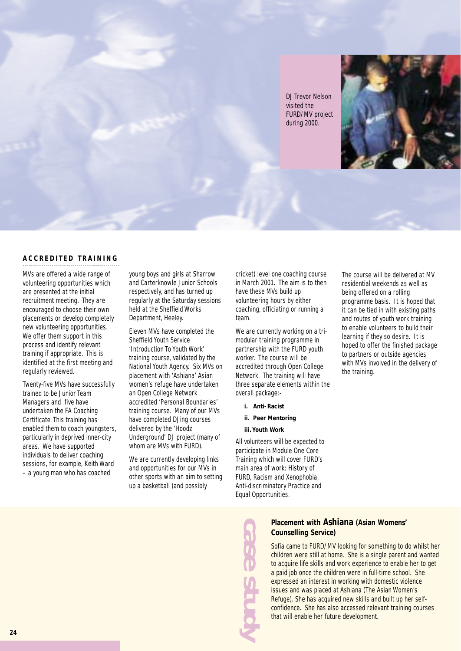DJ Trevor Nelson visited the FURD/MV project during 2000.



#### **ACCREDITED TRAINING**

MVs are offered a wide range of volunteering opportunities which are presented at the initial recruitment meeting. They are encouraged to choose their own placements or develop completely new volunteering opportunities. We offer them support in this process and identify relevant training if appropriate. This is identified at the first meeting and regularly reviewed.

Twenty-five MVs have successfully trained to be Junior Team Managers and five have undertaken the FA Coaching Certificate. This training has enabled them to coach youngsters, particularly in deprived inner-city areas. We have supported individuals to deliver coaching sessions, for example, Keith Ward – a young man who has coached

young boys and girls at Sharrow and Carterknowle Junior Schools respectively, and has turned up regularly at the Saturday sessions held at the Sheffield Works Department, Heeley.

Eleven MVs have completed the Sheffield Youth Service 'Introduction To Youth Work' training course, validated by the National Youth Agency. Six MVs on placement with 'Ashiana' Asian women's refuge have undertaken an Open College Network accredited 'Personal Boundaries' training course. Many of our MVs have completed DJing courses delivered by the 'Hoodz Underground' DJ project (many of whom are MVs with FURD).

We are currently developing links and opportunities for our MVs in other sports with an aim to setting up a basketball (and possibly

cricket) level one coaching course in March 2001. The aim is to then have these MVs build up volunteering hours by either coaching, officiating or running a team.

We are currently working on a trimodular training programme in partnership with the FURD youth worker. The course will be accredited through Open College Network. The training will have three separate elements within the overall package:-

- **i. Anti-Racist**
- **ii. Peer Mentoring**
- **iii. Youth Work**

All volunteers will be expected to participate in Module One Core Training which will cover FURD's main area of work: History of FURD, Racism and Xenophobia, Anti-discriminatory Practice and Equal Opportunities.

The course will be delivered at MV residential weekends as well as being offered on a rolling programme basis. It is hoped that it can be tied in with existing paths and routes of youth work training to enable volunteers to build their learning if they so desire. It is hoped to offer the finished package to partners or outside agencies with MVs involved in the delivery of the training.

**case study**

#### **Placement with Ashiana (Asian Womens' Counselling Service)**

Sofia came to FURD/MV looking for something to do whilst her children were still at home. She is a single parent and wanted to acquire life skills and work experience to enable her to get a paid job once the children were in full-time school. She expressed an interest in working with domestic violence issues and was placed at Ashiana (The Asian Women's Refuge). She has acquired new skills and built up her selfconfidence. She has also accessed relevant training courses that will enable her future development.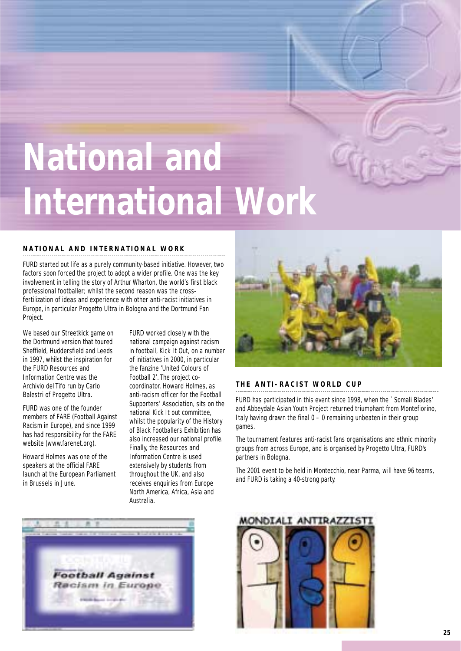## **National and International Work**

#### **NATIONAL AND INTERNATIONAL WORK**

FURD started out life as a purely community-based initiative. However, two factors soon forced the project to adopt a wider profile. One was the key involvement in telling the story of Arthur Wharton, the world's first black professional footballer; whilst the second reason was the crossfertilization of ideas and experience with other anti-racist initiatives in Europe, in particular Progetto Ultra in Bologna and the Dortmund Fan Project.

We based our Streetkick game on the Dortmund version that toured Sheffield, Huddersfield and Leeds in 1997, whilst the inspiration for the FURD Resources and Information Centre was the Archivio del Tifo run by Carlo Balestri of Progetto Ultra.

FURD was one of the founder members of FARE (Football Against Racism in Europe), and since 1999 has had responsibility for the FARE website (www.farenet.org).

Howard Holmes was one of the speakers at the official FARE launch at the European Parliament in Brussels in June.

FURD worked closely with the national campaign against racism in football, Kick It Out, on a number of initiatives in 2000, in particular the fanzine 'United Colours of Football 2'. The project cocoordinator, Howard Holmes, as anti-racism officer for the Football Supporters' Association, sits on the national Kick It out committee, whilst the popularity of the History of Black Footballers Exhibition has also increased our national profile. Finally, the Resources and Information Centre is used extensively by students from throughout the UK, and also receives enquiries from Europe North America, Africa, Asia and Australia.



#### **THE ANTI-RACIST WORLD CUP**

FURD has participated in this event since 1998, when the `Somali Blades' and Abbeydale Asian Youth Project returned triumphant from Montefiorino, Italy having drawn the final  $0 - 0$  remaining unbeaten in their group games.

The tournament features anti-racist fans organisations and ethnic minority groups from across Europe, and is organised by Progetto Ultra, FURD's partners in Bologna.

The 2001 event to be held in Montecchio, near Parma, will have 96 teams, and FURD is taking a 40-strong party.



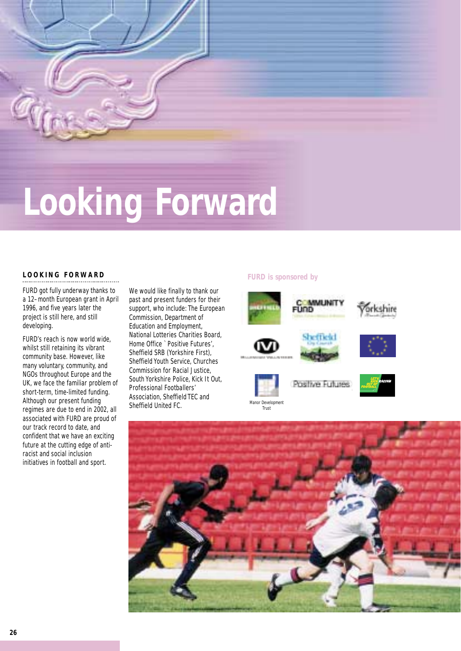

## **Looking Forward**

#### **FURD is sponsored by LOOKING FORWARD**

FURD got fully underway thanks to a 12–month European grant in April 1996, and five years later the project is still here, and still developing.

FURD's reach is now world wide, whilst still retaining its vibrant community base. However, like many voluntary, community, and NGOs throughout Europe and the UK, we face the familiar problem of short-term, time-limited funding. Although our present funding regimes are due to end in 2002, all associated with FURD are proud of our track record to date, and confident that we have an exciting future at the cutting edge of antiracist and social inclusion initiatives in football and sport.

We would like finally to thank our past and present funders for their support, who include: The European Commission, Department of Education and Employment, National Lotteries Charities Board, Home Office `Positive Futures', Sheffield SRB (Yorkshire First), Sheffield Youth Service, Churches Commission for Racial Justice, South Yorkshire Police, Kick It Out, Professional Footballers' Association, Sheffield TEC and Sheffield United FC.



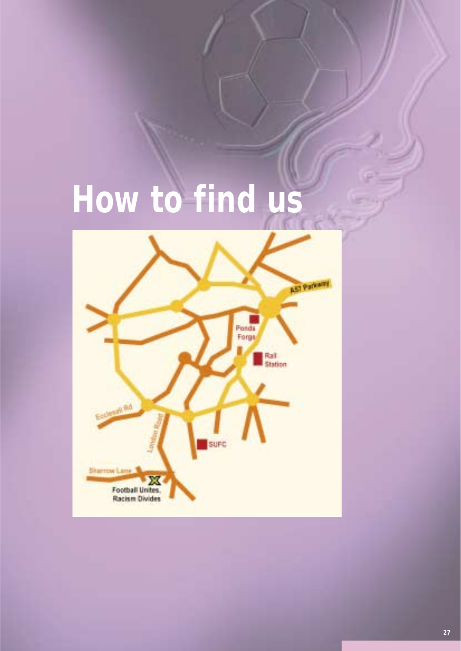## **How to find us**